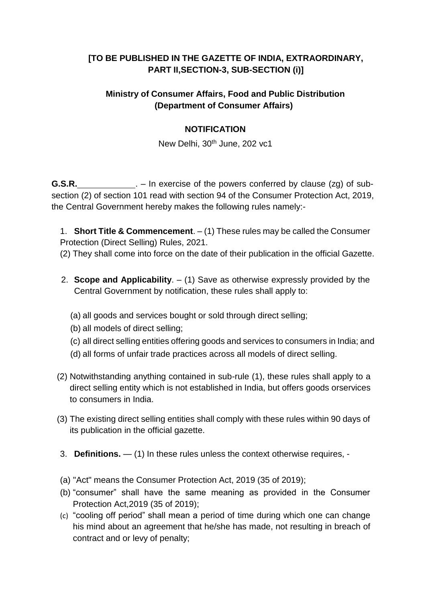# **[TO BE PUBLISHED IN THE GAZETTE OF INDIA, EXTRAORDINARY, PART II,SECTION-3, SUB-SECTION (i)]**

## **Ministry of Consumer Affairs, Food and Public Distribution (Department of Consumer Affairs)**

## **NOTIFICATION**

New Delhi, 30<sup>th</sup> June, 202 vc1

**G.S.R.** \_\_\_\_\_\_\_\_\_\_\_. - In exercise of the powers conferred by clause (zg) of subsection (2) of section 101 read with section 94 of the Consumer Protection Act, 2019, the Central Government hereby makes the following rules namely:-

1. **Short Title & Commencement**. – (1) These rules may be called the Consumer Protection (Direct Selling) Rules, 2021.

(2) They shall come into force on the date of their publication in the official Gazette.

- 2. **Scope and Applicability**. (1) Save as otherwise expressly provided by the Central Government by notification, these rules shall apply to:
	- (a) all goods and services bought or sold through direct selling;
	- (b) all models of direct selling;
	- (c) all direct selling entities offering goods and services to consumers in India; and
	- (d) all forms of unfair trade practices across all models of direct selling.
- (2) Notwithstanding anything contained in sub-rule (1), these rules shall apply to a direct selling entity which is not established in India, but offers goods orservices to consumers in India.
- (3) The existing direct selling entities shall comply with these rules within 90 days of its publication in the official gazette.
- 3. **Definitions.** (1) In these rules unless the context otherwise requires, -
- (a) "Act" means the Consumer Protection Act, 2019 (35 of 2019);
- (b) "consumer" shall have the same meaning as provided in the Consumer Protection Act,2019 (35 of 2019);
- (c) "cooling off period" shall mean a period of time during which one can change his mind about an agreement that he/she has made, not resulting in breach of contract and or levy of penalty;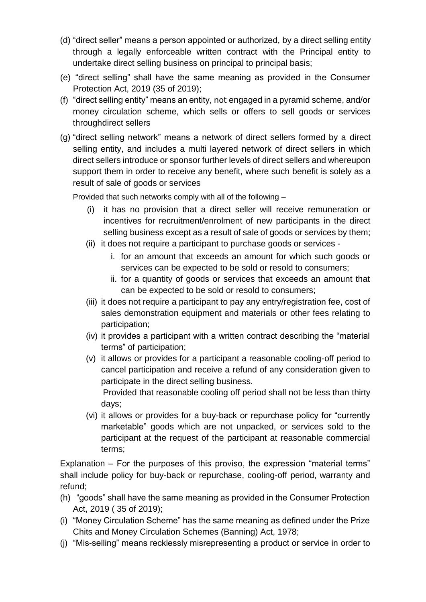- (d) "direct seller" means a person appointed or authorized, by a direct selling entity through a legally enforceable written contract with the Principal entity to undertake direct selling business on principal to principal basis;
- (e) "direct selling" shall have the same meaning as provided in the Consumer Protection Act, 2019 (35 of 2019);
- (f) "direct selling entity" means an entity, not engaged in a pyramid scheme, and/or money circulation scheme, which sells or offers to sell goods or services throughdirect sellers
- (g) "direct selling network" means a network of direct sellers formed by a direct selling entity, and includes a multi layered network of direct sellers in which direct sellers introduce or sponsor further levels of direct sellers and whereupon support them in order to receive any benefit, where such benefit is solely as a result of sale of goods or services

Provided that such networks comply with all of the following –

- (i) it has no provision that a direct seller will receive remuneration or incentives for recruitment/enrolment of new participants in the direct selling business except as a result of sale of goods or services by them;
- (ii) it does not require a participant to purchase goods or services
	- i. for an amount that exceeds an amount for which such goods or services can be expected to be sold or resold to consumers;
	- ii. for a quantity of goods or services that exceeds an amount that can be expected to be sold or resold to consumers;
- (iii) it does not require a participant to pay any entry/registration fee, cost of sales demonstration equipment and materials or other fees relating to participation;
- (iv) it provides a participant with a written contract describing the "material terms" of participation;
- (v) it allows or provides for a participant a reasonable cooling-off period to cancel participation and receive a refund of any consideration given to participate in the direct selling business. Provided that reasonable cooling off period shall not be less than thirty days;
- (vi) it allows or provides for a buy-back or repurchase policy for "currently marketable" goods which are not unpacked, or services sold to the participant at the request of the participant at reasonable commercial terms;

Explanation – For the purposes of this proviso, the expression "material terms" shall include policy for buy-back or repurchase, cooling-off period, warranty and refund;

- (h) "goods" shall have the same meaning as provided in the Consumer Protection Act, 2019 ( 35 of 2019);
- (i) "Money Circulation Scheme" has the same meaning as defined under the Prize Chits and Money Circulation Schemes (Banning) Act, 1978;
- (j) "Mis-selling" means recklessly misrepresenting a product or service in order to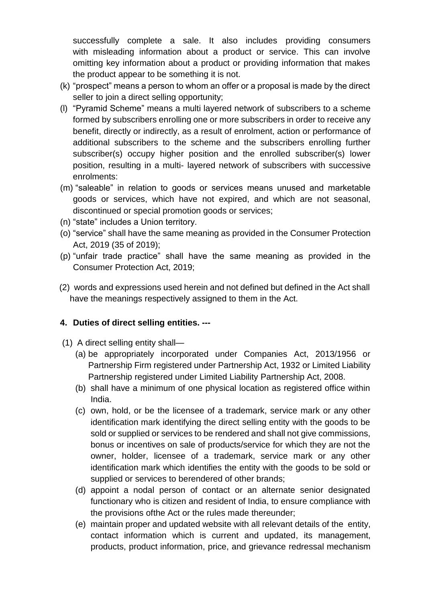successfully complete a sale. It also includes providing consumers with misleading information about a product or service. This can involve omitting key information about a product or providing information that makes the product appear to be something it is not.

- (k) "prospect" means a person to whom an offer or a proposal is made by the direct seller to join a direct selling opportunity;
- (l) "Pyramid Scheme" means a multi layered network of subscribers to a scheme formed by subscribers enrolling one or more subscribers in order to receive any benefit, directly or indirectly, as a result of enrolment, action or performance of additional subscribers to the scheme and the subscribers enrolling further subscriber(s) occupy higher position and the enrolled subscriber(s) lower position, resulting in a multi- layered network of subscribers with successive enrolments:
- (m) "saleable" in relation to goods or services means unused and marketable goods or services, which have not expired, and which are not seasonal, discontinued or special promotion goods or services;
- (n) "state" includes a Union territory.
- (o) "service" shall have the same meaning as provided in the Consumer Protection Act, 2019 (35 of 2019);
- (p) "unfair trade practice" shall have the same meaning as provided in the Consumer Protection Act, 2019;
- (2) words and expressions used herein and not defined but defined in the Act shall have the meanings respectively assigned to them in the Act.

#### **4. Duties of direct selling entities. ---**

- (1) A direct selling entity shall—
	- (a) be appropriately incorporated under Companies Act, 2013/1956 or Partnership Firm registered under Partnership Act, 1932 or Limited Liability Partnership registered under Limited Liability Partnership Act, 2008.
	- (b) shall have a minimum of one physical location as registered office within India.
	- (c) own, hold, or be the licensee of a trademark, service mark or any other identification mark identifying the direct selling entity with the goods to be sold or supplied or services to be rendered and shall not give commissions, bonus or incentives on sale of products/service for which they are not the owner, holder, licensee of a trademark, service mark or any other identification mark which identifies the entity with the goods to be sold or supplied or services to berendered of other brands;
	- (d) appoint a nodal person of contact or an alternate senior designated functionary who is citizen and resident of India, to ensure compliance with the provisions ofthe Act or the rules made thereunder;
	- (e) maintain proper and updated website with all relevant details of the entity, contact information which is current and updated, its management, products, product information, price, and grievance redressal mechanism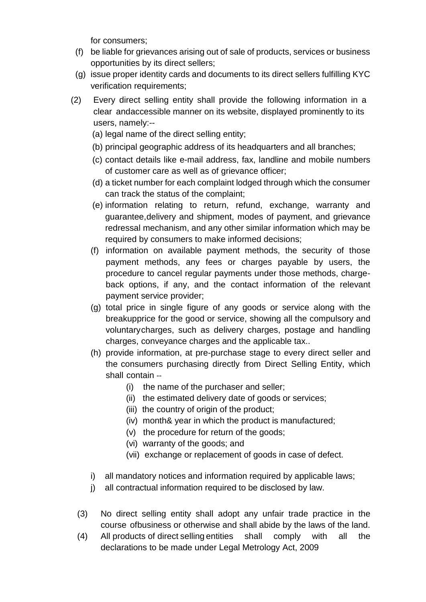for consumers;

- (f) be liable for grievances arising out of sale of products, services or business opportunities by its direct sellers;
- (g) issue proper identity cards and documents to its direct sellers fulfilling KYC verification requirements;
- (2) Every direct selling entity shall provide the following information in a clear andaccessible manner on its website, displayed prominently to its users, namely:--
	- (a) legal name of the direct selling entity;
	- (b) principal geographic address of its headquarters and all branches;
	- (c) contact details like e-mail address, fax, landline and mobile numbers of customer care as well as of grievance officer;
	- (d) a ticket number for each complaint lodged through which the consumer can track the status of the complaint;
	- (e) information relating to return, refund, exchange, warranty and guarantee,delivery and shipment, modes of payment, and grievance redressal mechanism, and any other similar information which may be required by consumers to make informed decisions;
	- (f) information on available payment methods, the security of those payment methods, any fees or charges payable by users, the procedure to cancel regular payments under those methods, chargeback options, if any, and the contact information of the relevant payment service provider;
	- (g) total price in single figure of any goods or service along with the breakupprice for the good or service, showing all the compulsory and voluntarycharges, such as delivery charges, postage and handling charges, conveyance charges and the applicable tax..
	- (h) provide information, at pre-purchase stage to every direct seller and the consumers purchasing directly from Direct Selling Entity, which shall contain --
		- (i) the name of the purchaser and seller;
		- (ii) the estimated delivery date of goods or services;
		- (iii) the country of origin of the product;
		- (iv) month& year in which the product is manufactured;
		- (v) the procedure for return of the goods;
		- (vi) warranty of the goods; and
		- (vii) exchange or replacement of goods in case of defect.
	- i) all mandatory notices and information required by applicable laws;
	- j) all contractual information required to be disclosed by law.
	- (3) No direct selling entity shall adopt any unfair trade practice in the course ofbusiness or otherwise and shall abide by the laws of the land.
	- (4) All products of direct selling entities shall comply with all the declarations to be made under Legal Metrology Act, 2009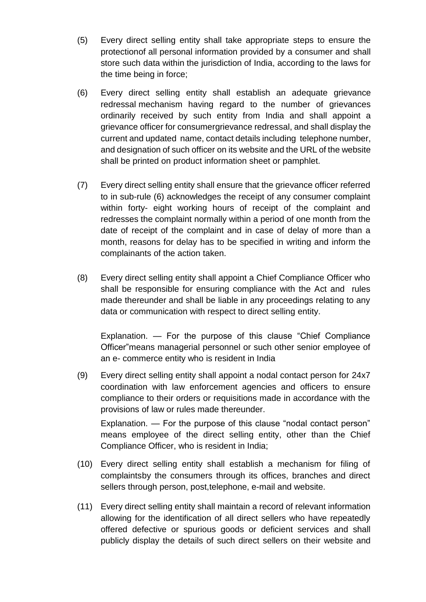- (5) Every direct selling entity shall take appropriate steps to ensure the protectionof all personal information provided by a consumer and shall store such data within the jurisdiction of India, according to the laws for the time being in force;
- (6) Every direct selling entity shall establish an adequate grievance redressal mechanism having regard to the number of grievances ordinarily received by such entity from India and shall appoint a grievance officer for consumergrievance redressal, and shall display the current and updated name, contact details including telephone number, and designation of such officer on its website and the URL of the website shall be printed on product information sheet or pamphlet.
- (7) Every direct selling entity shall ensure that the grievance officer referred to in sub-rule (6) acknowledges the receipt of any consumer complaint within forty- eight working hours of receipt of the complaint and redresses the complaint normally within a period of one month from the date of receipt of the complaint and in case of delay of more than a month, reasons for delay has to be specified in writing and inform the complainants of the action taken.
- (8) Every direct selling entity shall appoint a Chief Compliance Officer who shall be responsible for ensuring compliance with the Act and rules made thereunder and shall be liable in any proceedings relating to any data or communication with respect to direct selling entity.

Explanation. — For the purpose of this clause "Chief Compliance Officer"means managerial personnel or such other senior employee of an e- commerce entity who is resident in India

(9) Every direct selling entity shall appoint a nodal contact person for 24x7 coordination with law enforcement agencies and officers to ensure compliance to their orders or requisitions made in accordance with the provisions of law or rules made thereunder.

Explanation. — For the purpose of this clause "nodal contact person" means employee of the direct selling entity, other than the Chief Compliance Officer, who is resident in India;

- (10) Every direct selling entity shall establish a mechanism for filing of complaintsby the consumers through its offices, branches and direct sellers through person, post,telephone, e-mail and website.
- (11) Every direct selling entity shall maintain a record of relevant information allowing for the identification of all direct sellers who have repeatedly offered defective or spurious goods or deficient services and shall publicly display the details of such direct sellers on their website and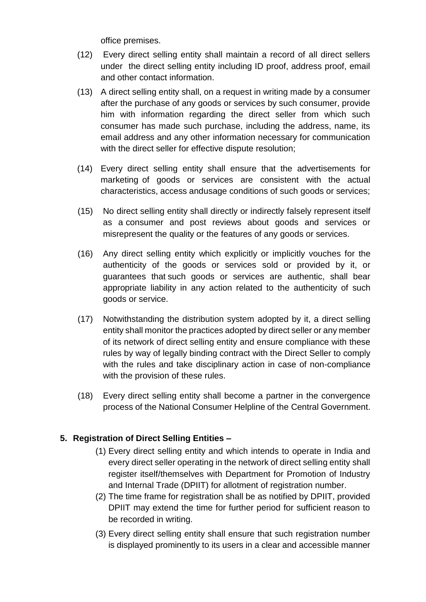office premises.

- (12) Every direct selling entity shall maintain a record of all direct sellers under the direct selling entity including ID proof, address proof, email and other contact information.
- (13) A direct selling entity shall, on a request in writing made by a consumer after the purchase of any goods or services by such consumer, provide him with information regarding the direct seller from which such consumer has made such purchase, including the address, name, its email address and any other information necessary for communication with the direct seller for effective dispute resolution;
- (14) Every direct selling entity shall ensure that the advertisements for marketing of goods or services are consistent with the actual characteristics, access andusage conditions of such goods or services;
- (15) No direct selling entity shall directly or indirectly falsely represent itself as a consumer and post reviews about goods and services or misrepresent the quality or the features of any goods or services.
- (16) Any direct selling entity which explicitly or implicitly vouches for the authenticity of the goods or services sold or provided by it, or guarantees that such goods or services are authentic, shall bear appropriate liability in any action related to the authenticity of such goods or service.
- (17) Notwithstanding the distribution system adopted by it, a direct selling entity shall monitor the practices adopted by direct seller or any member of its network of direct selling entity and ensure compliance with these rules by way of legally binding contract with the Direct Seller to comply with the rules and take disciplinary action in case of non-compliance with the provision of these rules.
- (18) Every direct selling entity shall become a partner in the convergence process of the National Consumer Helpline of the Central Government.

## **5. Registration of Direct Selling Entities –**

- (1) Every direct selling entity and which intends to operate in India and every direct seller operating in the network of direct selling entity shall register itself/themselves with Department for Promotion of Industry and Internal Trade (DPIIT) for allotment of registration number.
- (2) The time frame for registration shall be as notified by DPIIT, provided DPIIT may extend the time for further period for sufficient reason to be recorded in writing.
- (3) Every direct selling entity shall ensure that such registration number is displayed prominently to its users in a clear and accessible manner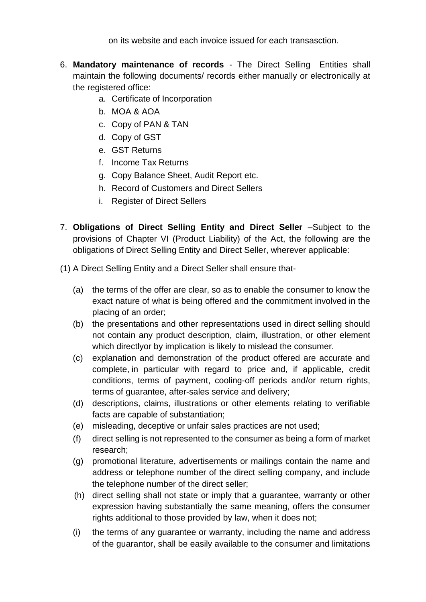on its website and each invoice issued for each transasction.

- 6. **Mandatory maintenance of records** The Direct Selling Entities shall maintain the following documents/ records either manually or electronically at the registered office:
	- a. Certificate of Incorporation
	- b. MOA & AOA
	- c. Copy of PAN & TAN
	- d. Copy of GST
	- e. GST Returns
	- f. Income Tax Returns
	- g. Copy Balance Sheet, Audit Report etc.
	- h. Record of Customers and Direct Sellers
	- i. Register of Direct Sellers
- 7. **Obligations of Direct Selling Entity and Direct Seller** –Subject to the provisions of Chapter VI (Product Liability) of the Act, the following are the obligations of Direct Selling Entity and Direct Seller, wherever applicable:
- (1) A Direct Selling Entity and a Direct Seller shall ensure that-
	- (a) the terms of the offer are clear, so as to enable the consumer to know the exact nature of what is being offered and the commitment involved in the placing of an order;
	- (b) the presentations and other representations used in direct selling should not contain any product description, claim, illustration, or other element which directlyor by implication is likely to mislead the consumer.
	- (c) explanation and demonstration of the product offered are accurate and complete, in particular with regard to price and, if applicable, credit conditions, terms of payment, cooling-off periods and/or return rights, terms of guarantee, after-sales service and delivery;
	- (d) descriptions, claims, illustrations or other elements relating to verifiable facts are capable of substantiation;
	- (e) misleading, deceptive or unfair sales practices are not used;
	- (f) direct selling is not represented to the consumer as being a form of market research;
	- (g) promotional literature, advertisements or mailings contain the name and address or telephone number of the direct selling company, and include the telephone number of the direct seller;
	- (h) direct selling shall not state or imply that a guarantee, warranty or other expression having substantially the same meaning, offers the consumer rights additional to those provided by law, when it does not;
	- (i) the terms of any guarantee or warranty, including the name and address of the guarantor, shall be easily available to the consumer and limitations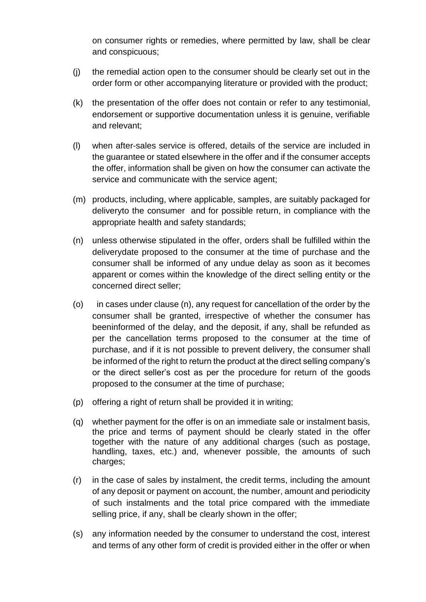on consumer rights or remedies, where permitted by law, shall be clear and conspicuous;

- (j) the remedial action open to the consumer should be clearly set out in the order form or other accompanying literature or provided with the product;
- (k) the presentation of the offer does not contain or refer to any testimonial, endorsement or supportive documentation unless it is genuine, verifiable and relevant;
- (l) when after-sales service is offered, details of the service are included in the guarantee or stated elsewhere in the offer and if the consumer accepts the offer, information shall be given on how the consumer can activate the service and communicate with the service agent;
- (m) products, including, where applicable, samples, are suitably packaged for deliveryto the consumer and for possible return, in compliance with the appropriate health and safety standards;
- (n) unless otherwise stipulated in the offer, orders shall be fulfilled within the deliverydate proposed to the consumer at the time of purchase and the consumer shall be informed of any undue delay as soon as it becomes apparent or comes within the knowledge of the direct selling entity or the concerned direct seller;
- (o) in cases under clause (n), any request for cancellation of the order by the consumer shall be granted, irrespective of whether the consumer has beeninformed of the delay, and the deposit, if any, shall be refunded as per the cancellation terms proposed to the consumer at the time of purchase, and if it is not possible to prevent delivery, the consumer shall be informed of the right to return the product at the direct selling company's or the direct seller's cost as per the procedure for return of the goods proposed to the consumer at the time of purchase;
- (p) offering a right of return shall be provided it in writing;
- (q) whether payment for the offer is on an immediate sale or instalment basis, the price and terms of payment should be clearly stated in the offer together with the nature of any additional charges (such as postage, handling, taxes, etc.) and, whenever possible, the amounts of such charges;
- (r) in the case of sales by instalment, the credit terms, including the amount of any deposit or payment on account, the number, amount and periodicity of such instalments and the total price compared with the immediate selling price, if any, shall be clearly shown in the offer;
- (s) any information needed by the consumer to understand the cost, interest and terms of any other form of credit is provided either in the offer or when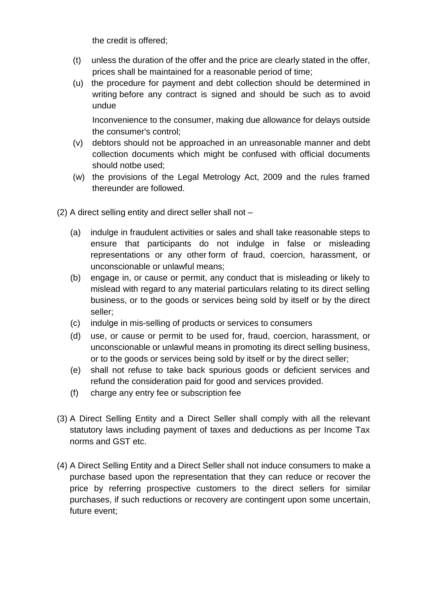the credit is offered;

- (t) unless the duration of the offer and the price are clearly stated in the offer, prices shall be maintained for a reasonable period of time;
- (u) the procedure for payment and debt collection should be determined in writing before any contract is signed and should be such as to avoid undue

Inconvenience to the consumer, making due allowance for delays outside the consumer's control;

- (v) debtors should not be approached in an unreasonable manner and debt collection documents which might be confused with official documents should notbe used;
- (w) the provisions of the Legal Metrology Act, 2009 and the rules framed thereunder are followed.
- (2) A direct selling entity and direct seller shall not
	- (a) indulge in fraudulent activities or sales and shall take reasonable steps to ensure that participants do not indulge in false or misleading representations or any other form of fraud, coercion, harassment, or unconscionable or unlawful means;
	- (b) engage in, or cause or permit, any conduct that is misleading or likely to mislead with regard to any material particulars relating to its direct selling business, or to the goods or services being sold by itself or by the direct seller;
	- (c) indulge in mis-selling of products or services to consumers
	- (d) use, or cause or permit to be used for, fraud, coercion, harassment, or unconscionable or unlawful means in promoting its direct selling business, or to the goods or services being sold by itself or by the direct seller;
	- (e) shall not refuse to take back spurious goods or deficient services and refund the consideration paid for good and services provided.
	- (f) charge any entry fee or subscription fee
- (3) A Direct Selling Entity and a Direct Seller shall comply with all the relevant statutory laws including payment of taxes and deductions as per Income Tax norms and GST etc.
- (4) A Direct Selling Entity and a Direct Seller shall not induce consumers to make a purchase based upon the representation that they can reduce or recover the price by referring prospective customers to the direct sellers for similar purchases, if such reductions or recovery are contingent upon some uncertain, future event;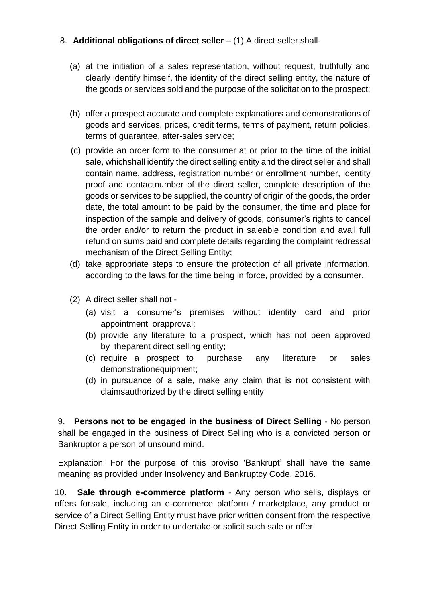## 8. **Additional obligations of direct seller** – (1) A direct seller shall-

- (a) at the initiation of a sales representation, without request, truthfully and clearly identify himself, the identity of the direct selling entity, the nature of the goods or services sold and the purpose of the solicitation to the prospect;
- (b) offer a prospect accurate and complete explanations and demonstrations of goods and services, prices, credit terms, terms of payment, return policies, terms of guarantee, after-sales service;
- (c) provide an order form to the consumer at or prior to the time of the initial sale, whichshall identify the direct selling entity and the direct seller and shall contain name, address, registration number or enrollment number, identity proof and contactnumber of the direct seller, complete description of the goods or services to be supplied, the country of origin of the goods, the order date, the total amount to be paid by the consumer, the time and place for inspection of the sample and delivery of goods, consumer's rights to cancel the order and/or to return the product in saleable condition and avail full refund on sums paid and complete details regarding the complaint redressal mechanism of the Direct Selling Entity;
- (d) take appropriate steps to ensure the protection of all private information, according to the laws for the time being in force, provided by a consumer.
- (2) A direct seller shall not
	- (a) visit a consumer's premises without identity card and prior appointment orapproval;
	- (b) provide any literature to a prospect, which has not been approved by theparent direct selling entity;
	- (c) require a prospect to purchase any literature or sales demonstrationequipment;
	- (d) in pursuance of a sale, make any claim that is not consistent with claimsauthorized by the direct selling entity

9. **Persons not to be engaged in the business of Direct Selling** - No person shall be engaged in the business of Direct Selling who is a convicted person or Bankruptor a person of unsound mind.

Explanation: For the purpose of this proviso 'Bankrupt' shall have the same meaning as provided under Insolvency and Bankruptcy Code, 2016.

10. **Sale through e-commerce platform** - Any person who sells, displays or offers forsale, including an e-commerce platform / marketplace, any product or service of a Direct Selling Entity must have prior written consent from the respective Direct Selling Entity in order to undertake or solicit such sale or offer.